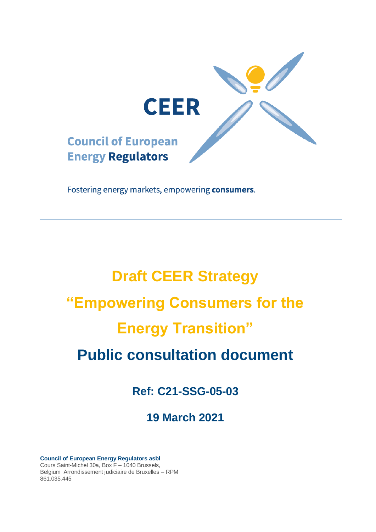

Fostering energy markets, empowering consumers.

# **Draft CEER Strategy "Empowering Consumers for the Energy Transition" Public consultation document**

**Ref: C21-SSG-05-03**

**19 March 2021**

**Council of European Energy Regulators asbl** Cours Saint-Michel 30a, Box F – 1040 Brussels, Belgium Arrondissement judiciaire de Bruxelles – RPM 861.035.445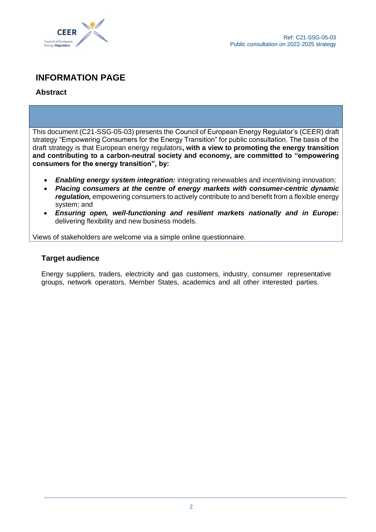

## **INFORMATION PAGE**

## **Abstract**

This document (C21-SSG-05-03) presents the Council of European Energy Regulator's (CEER) draft strategy "Empowering Consumers for the Energy Transition" for public consultation. The basis of the draft strategy is that European energy regulators**, with a view to promoting the energy transition and contributing to a carbon-neutral society and economy, are committed to "empowering consumers for the energy transition", by:**

- **Enabling energy system integration:** integrating renewables and incentivising innovation;
- *Placing consumers at the centre of energy markets with consumer-centric dynamic regulation,* empowering consumers to actively contribute to and benefit from a flexible energy system; and
- *Ensuring open, well-functioning and resilient markets nationally and in Europe:*  delivering flexibility and new business models.

Views of stakeholders are welcome via a simple online questionnaire.

## **Target audience**

Energy suppliers, traders, electricity and gas customers, industry, consumer representative groups, network operators, Member States, academics and all other interested parties.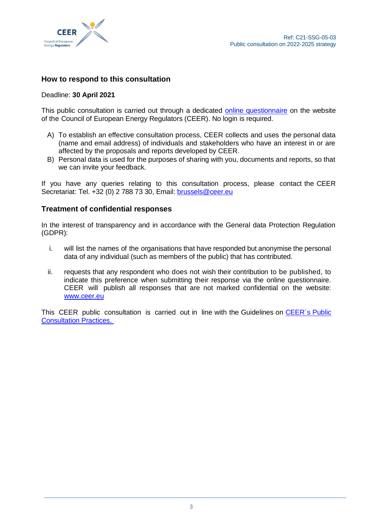

## **How to respond to this consultation**

#### Deadline: **30 April 2021**

This public consultation is carried out through a dedicated online [questionnaire](https://www.ceer.eu/public-consultation-on-new-strategy) on the website of the Council of European Energy Regulators (CEER). No login is required.

- A) To establish an effective consultation process, CEER collects and uses the personal data (name and email address) of individuals and stakeholders who have an interest in or are affected by the proposals and reports developed by CEER.
- B) Personal data is used for the purposes of sharing with you, documents and reports, so that we can invite your feedback.

If you have any queries relating to this consultation process, please contact the CEER Secretariat: Tel. +32 (0) 2 788 73 30, Email: [brussels@ceer.eu](mailto:brussels@ceer.eu)

## **Treatment of confidential responses**

In the interest of transparency and in accordance with the General data Protection Regulation (GDPR):

- i. will list the names of the organisations that have responded but anonymise the personal data of any individual (such as members of the public) that has contributed.
- ii. requests that any respondent who does not wish their contribution to be published, to indicate this preference when submitting their response via the online questionnaire. CEER will publish all responses that are not marked confidential on the website: [www.ceer.eu](http://www.ceer.eu/)

This CEER public consultation is carried out in line with the Guidelines on CEER's Public [Consultation Practices.](https://www.ceer.eu/documents/104400/3743733/C07-EP-16-03_PC-Guidelines_Rev_May2018/98d2da67-768c-ab01-1033-85fe47c173e2)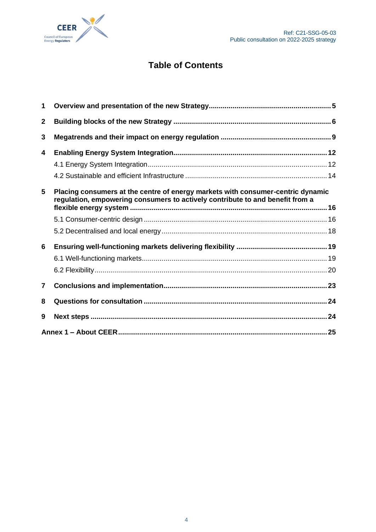

# **Table of Contents**

| 1              |                                                                                                                                                                  |  |  |
|----------------|------------------------------------------------------------------------------------------------------------------------------------------------------------------|--|--|
| $\mathbf{2}$   |                                                                                                                                                                  |  |  |
| 3              |                                                                                                                                                                  |  |  |
| 4              |                                                                                                                                                                  |  |  |
|                |                                                                                                                                                                  |  |  |
|                |                                                                                                                                                                  |  |  |
| 5              | Placing consumers at the centre of energy markets with consumer-centric dynamic<br>regulation, empowering consumers to actively contribute to and benefit from a |  |  |
|                |                                                                                                                                                                  |  |  |
|                |                                                                                                                                                                  |  |  |
|                |                                                                                                                                                                  |  |  |
| 6              |                                                                                                                                                                  |  |  |
|                |                                                                                                                                                                  |  |  |
|                |                                                                                                                                                                  |  |  |
| $\overline{7}$ |                                                                                                                                                                  |  |  |
| 8              |                                                                                                                                                                  |  |  |
| 9              |                                                                                                                                                                  |  |  |
|                |                                                                                                                                                                  |  |  |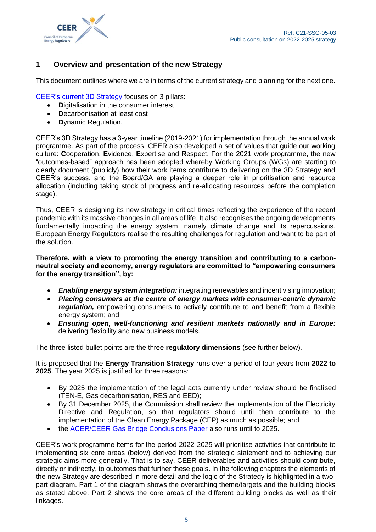

## <span id="page-4-0"></span>**1 Overview and presentation of the new Strategy**

This document outlines where we are in terms of the current strategy and planning for the next one.

[CEER's current 3D Strategy](https://www.ceer.eu/1740) focuses on 3 pillars:

- **D**igitalisation in the consumer interest
- **D**ecarbonisation at least cost
- **D**ynamic Regulation.

CEER's 3D Strategy has a 3-year timeline (2019-2021) for implementation through the annual work programme. As part of the process, CEER also developed a set of values that guide our working culture: **C**ooperation, **E**vidence, **E**xpertise and **R**espect. For the 2021 work programme, the new "outcomes-based" approach has been adopted whereby Working Groups (WGs) are starting to clearly document (publicly) how their work items contribute to delivering on the 3D Strategy and CEER's success, and the Board/GA are playing a deeper role in prioritisation and resource allocation (including taking stock of progress and re-allocating resources before the completion stage).

Thus, CEER is designing its new strategy in critical times reflecting the experience of the recent pandemic with its massive changes in all areas of life. It also recognises the ongoing developments fundamentally impacting the energy system, namely climate change and its repercussions. European Energy Regulators realise the resulting challenges for regulation and want to be part of the solution.

**Therefore, with a view to promoting the energy transition and contributing to a carbonneutral society and economy, energy regulators are committed to "empowering consumers for the energy transition", by:**

- *Enabling energy system integration:* integrating renewables and incentivising innovation;
- *Placing consumers at the centre of energy markets with consumer-centric dynamic requlation*, empowering consumers to actively contribute to and benefit from a flexible energy system; and
- *Ensuring open, well-functioning and resilient markets nationally and in Europe:*  delivering flexibility and new business models.

The three listed bullet points are the three **regulatory dimensions** (see further below).

It is proposed that the **Energy Transition Strategy** runs over a period of four years from **2022 to 2025**. The year 2025 is justified for three reasons:

- By 2025 the implementation of the legal acts currently under review should be finalised (TEN-E, Gas decarbonisation, RES and EED);
- By 31 December 2025, the Commission shall review the implementation of the Electricity Directive and Regulation, so that regulators should until then contribute to the implementation of the Clean Energy Package (CEP) as much as possible; and
- the [ACER/CEER Gas Bridge Conclusions Paper](https://www.ceer.eu/1767) also runs until to 2025.

CEER's work programme items for the period 2022-2025 will prioritise activities that contribute to implementing six core areas (below) derived from the strategic statement and to achieving our strategic aims more generally. That is to say, CEER deliverables and activities should contribute, directly or indirectly, to outcomes that further these goals. In the following chapters the elements of the new Strategy are described in more detail and the logic of the Strategy is highlighted in a twopart diagram. Part 1 of the diagram shows the overarching theme/targets and the building blocks as stated above. Part 2 shows the core areas of the different building blocks as well as their linkages.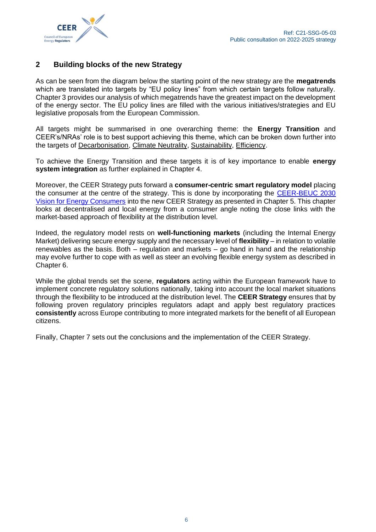

## <span id="page-5-0"></span>**2 Building blocks of the new Strategy**

As can be seen from the diagram below the starting point of the new strategy are the **megatrends** which are translated into targets by "EU policy lines" from which certain targets follow naturally. Chapter 3 provides our analysis of which megatrends have the greatest impact on the development of the energy sector. The EU policy lines are filled with the various initiatives/strategies and EU legislative proposals from the European Commission.

All targets might be summarised in one overarching theme: the **Energy Transition** and CEER's/NRAs' role is to best support achieving this theme, which can be broken down further into the targets of Decarbonisation, Climate Neutrality, Sustainability, Efficiency.

To achieve the Energy Transition and these targets it is of key importance to enable **energy system integration** as further explained in Chapter 4.

Moreover, the CEER Strategy puts forward a **consumer-centric smart regulatory model** placing the consumer at the centre of the strategy. This is done by incorporating the [CEER-BEUC 2030](https://www.ceer.eu/1932)  [Vision for Energy Consumers](https://www.ceer.eu/1932) into the new CEER Strategy as presented in Chapter 5. This chapter looks at decentralised and local energy from a consumer angle noting the close links with the market-based approach of flexibility at the distribution level.

Indeed, the regulatory model rests on **well-functioning markets** (including the Internal Energy Market) delivering secure energy supply and the necessary level of **flexibility** – in relation to volatile renewables as the basis. Both – regulation and markets – go hand in hand and the relationship may evolve further to cope with as well as steer an evolving flexible energy system as described in Chapter 6.

While the global trends set the scene, **regulators** acting within the European framework have to implement concrete regulatory solutions nationally, taking into account the local market situations through the flexibility to be introduced at the distribution level. The **CEER Strategy** ensures that by following proven regulatory principles regulators adapt and apply best regulatory practices **consistently** across Europe contributing to more integrated markets for the benefit of all European citizens.

Finally, Chapter 7 sets out the conclusions and the implementation of the CEER Strategy.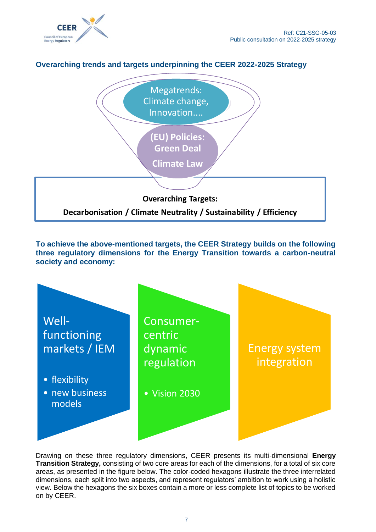

## **Overarching trends and targets underpinning the CEER 2022-2025 Strategy**



**To achieve the above-mentioned targets, the CEER Strategy builds on the following three regulatory dimensions for the Energy Transition towards a carbon-neutral society and economy:** 



Drawing on these three regulatory dimensions, CEER presents its multi-dimensional **Energy Transition Strategy,** consisting of two core areas for each of the dimensions, for a total of six core areas, as presented in the figure below. The color-coded hexagons illustrate the three interrelated dimensions, each split into two aspects, and represent regulators' ambition to work using a holistic view. Below the hexagons the six boxes contain a more or less complete list of topics to be worked on by CEER.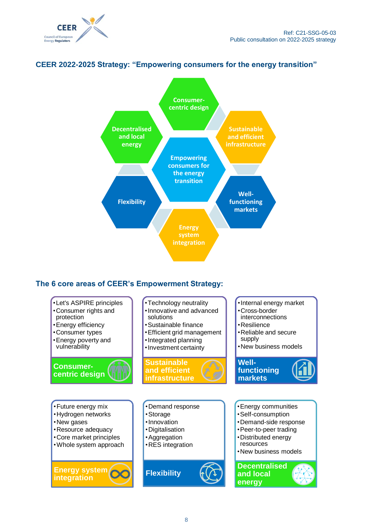



## **CEER 2022-2025 Strategy: "Empowering consumers for the energy transition"**

## **The 6 core areas of CEER's Empowerment Strategy:**

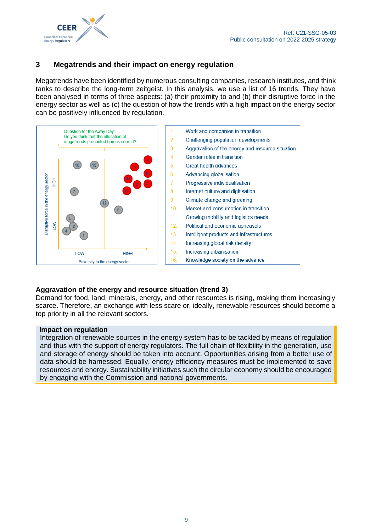

## <span id="page-8-0"></span>**3 Megatrends and their impact on energy regulation**

Megatrends have been identified by numerous consulting companies, research institutes, and think tanks to describe the long-term zeitgeist. In this analysis, we use a list of 16 trends. They have been analysed in terms of three aspects: (a) their proximity to and (b) their disruptive force in the energy sector as well as (c) the question of how the trends with a high impact on the energy sector can be positively influenced by regulation.



#### **Aggravation of the energy and resource situation (trend 3)**

Demand for food, land, minerals, energy, and other resources is rising, making them increasingly scarce. Therefore, an exchange with less scare or, ideally, renewable resources should become a top priority in all the relevant sectors.

#### **Impact on regulation**

Integration of renewable sources in the energy system has to be tackled by means of regulation and thus with the support of energy regulators. The full chain of flexibility in the generation, use and storage of energy should be taken into account. Opportunities arising from a better use of data should be harnessed. Equally, energy efficiency measures must be implemented to save resources and energy. Sustainability initiatives such the circular economy should be encouraged by engaging with the Commission and national governments.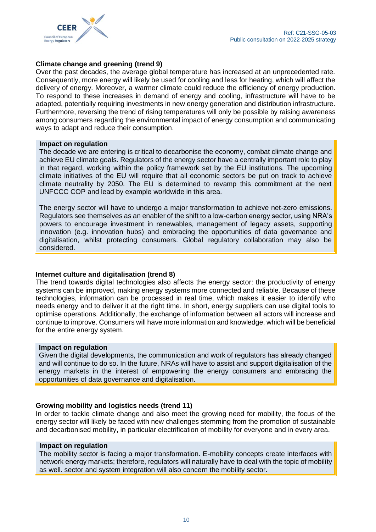

#### **Climate change and greening (trend 9)**

Over the past decades, the average global temperature has increased at an unprecedented rate. Consequently, more energy will likely be used for cooling and less for heating, which will affect the delivery of energy. Moreover, a warmer climate could reduce the efficiency of energy production. To respond to these increases in demand of energy and cooling, infrastructure will have to be adapted, potentially requiring investments in new energy generation and distribution infrastructure. Furthermore, reversing the trend of rising temperatures will only be possible by raising awareness among consumers regarding the environmental impact of energy consumption and communicating ways to adapt and reduce their consumption.

#### **Impact on regulation**

The decade we are entering is critical to decarbonise the economy, combat climate change and achieve EU climate goals. Regulators of the energy sector have a centrally important role to play in that regard, working within the policy framework set by the EU institutions. The upcoming climate initiatives of the EU will require that all economic sectors be put on track to achieve climate neutrality by 2050. The EU is determined to revamp this commitment at the next UNFCCC COP and lead by example worldwide in this area.

The energy sector will have to undergo a major transformation to achieve net-zero emissions. Regulators see themselves as an enabler of the shift to a low-carbon energy sector, using NRA's powers to encourage investment in renewables, management of legacy assets, supporting innovation (e.g. innovation hubs) and embracing the opportunities of data governance and digitalisation, whilst protecting consumers. Global regulatory collaboration may also be considered.

#### **Internet culture and digitalisation (trend 8)**

The trend towards digital technologies also affects the energy sector: the productivity of energy systems can be improved, making energy systems more connected and reliable. Because of these technologies, information can be processed in real time, which makes it easier to identify who needs energy and to deliver it at the right time. In short, energy suppliers can use digital tools to optimise operations. Additionally, the exchange of information between all actors will increase and continue to improve. Consumers will have more information and knowledge, which will be beneficial for the entire energy system.

#### **Impact on regulation**

Given the digital developments, the communication and work of regulators has already changed and will continue to do so. In the future, NRAs will have to assist and support digitalisation of the energy markets in the interest of empowering the energy consumers and embracing the opportunities of data governance and digitalisation.

#### **Growing mobility and logistics needs (trend 11)**

In order to tackle climate change and also meet the growing need for mobility, the focus of the energy sector will likely be faced with new challenges stemming from the promotion of sustainable and decarbonised mobility, in particular electrification of mobility for everyone and in every area.

#### **Impact on regulation**

The mobility sector is facing a major transformation. E-mobility concepts create interfaces with network energy markets; therefore, regulators will naturally have to deal with the topic of mobility as well. sector and system integration will also concern the mobility sector.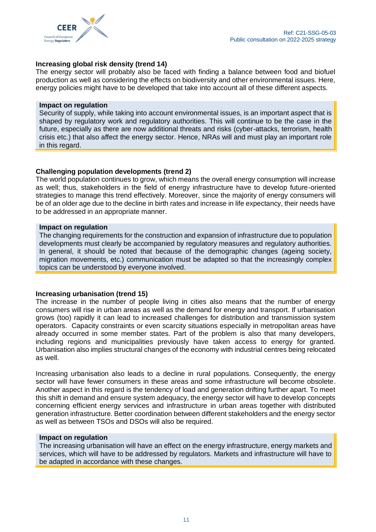

#### **Increasing global risk density (trend 14)**

The energy sector will probably also be faced with finding a balance between food and biofuel production as well as considering the effects on biodiversity and other environmental issues. Here, energy policies might have to be developed that take into account all of these different aspects.

#### **Impact on regulation**

Security of supply, while taking into account environmental issues, is an important aspect that is shaped by regulatory work and regulatory authorities. This will continue to be the case in the future, especially as there are now additional threats and risks (cyber-attacks, terrorism, health crisis etc.) that also affect the energy sector. Hence, NRAs will and must play an important role in this regard.

#### **Challenging population developments (trend 2)**

The world population continues to grow, which means the overall energy consumption will increase as well; thus, stakeholders in the field of energy infrastructure have to develop future-oriented strategies to manage this trend effectively. Moreover, since the majority of energy consumers will be of an older age due to the decline in birth rates and increase in life expectancy, their needs have to be addressed in an appropriate manner.

#### **Impact on regulation**

The changing requirements for the construction and expansion of infrastructure due to population developments must clearly be accompanied by regulatory measures and regulatory authorities. In general, it should be noted that because of the demographic changes (ageing society, migration movements, etc.) communication must be adapted so that the increasingly complex topics can be understood by everyone involved.

#### **Increasing urbanisation (trend 15)**

The increase in the number of people living in cities also means that the number of energy consumers will rise in urban areas as well as the demand for energy and transport. If urbanisation grows (too) rapidly it can lead to increased challenges for distribution and transmission system operators. Capacity constraints or even scarcity situations especially in metropolitan areas have already occurred in some member states. Part of the problem is also that many developers, including regions and municipalities previously have taken access to energy for granted. Urbanisation also implies structural changes of the economy with industrial centres being relocated as well.

Increasing urbanisation also leads to a decline in rural populations. Consequently, the energy sector will have fewer consumers in these areas and some infrastructure will become obsolete. Another aspect in this regard is the tendency of load and generation drifting further apart. To meet this shift in demand and ensure system adequacy, the energy sector will have to develop concepts concerning efficient energy services and infrastructure in urban areas together with distributed generation infrastructure. Better coordination between different stakeholders and the energy sector as well as between TSOs and DSOs will also be required.

#### **Impact on regulation**

<span id="page-10-0"></span>The increasing urbanisation will have an effect on the energy infrastructure, energy markets and services, which will have to be addressed by regulators. Markets and infrastructure will have to be adapted in accordance with these changes.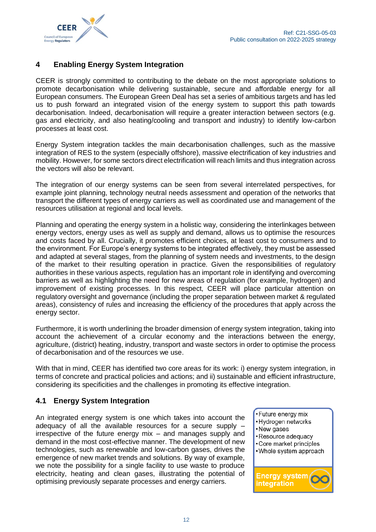

## **4 Enabling Energy System Integration**

CEER is strongly committed to contributing to the debate on the most appropriate solutions to promote decarbonisation while delivering sustainable, secure and affordable energy for all European consumers. The European Green Deal has set a series of ambitious targets and has led us to push forward an integrated vision of the energy system to support this path towards decarbonisation. Indeed, decarbonisation will require a greater interaction between sectors (e.g. gas and electricity, and also heating/cooling and transport and industry) to identify low-carbon processes at least cost.

Energy System integration tackles the main decarbonisation challenges, such as the massive integration of RES to the system (especially offshore), massive electrification of key industries and mobility. However, for some sectors direct electrification will reach limits and thus integration across the vectors will also be relevant.

The integration of our energy systems can be seen from several interrelated perspectives, for example joint planning, technology neutral needs assessment and operation of the networks that transport the different types of energy carriers as well as coordinated use and management of the resources utilisation at regional and local levels.

Planning and operating the energy system in a holistic way, considering the interlinkages between energy vectors, energy uses as well as supply and demand, allows us to optimise the resources and costs faced by all. Crucially, it promotes efficient choices, at least cost to consumers and to the environment. For Europe's energy systems to be integrated effectively, they must be assessed and adapted at several stages, from the planning of system needs and investments, to the design of the market to their resulting operation in practice. Given the responsibilities of regulatory authorities in these various aspects, regulation has an important role in identifying and overcoming barriers as well as highlighting the need for new areas of regulation (for example, hydrogen) and improvement of existing processes. In this respect, CEER will place particular attention on regulatory oversight and governance (including the proper separation between market & regulated areas), consistency of rules and increasing the efficiency of the procedures that apply across the energy sector.

Furthermore, it is worth underlining the broader dimension of energy system integration, taking into account the achievement of a circular economy and the interactions between the energy, agriculture, (district) heating, industry, transport and waste sectors in order to optimise the process of decarbonisation and of the resources we use.

With that in mind, CEER has identified two core areas for its work: i) energy system integration, in terms of concrete and practical policies and actions; and ii) sustainable and efficient infrastructure, considering its specificities and the challenges in promoting its effective integration.

## <span id="page-11-0"></span>**4.1 Energy System Integration**

An integrated energy system is one which takes into account the adequacy of all the available resources for a secure supply – irrespective of the future energy mix – and manages supply and demand in the most cost-effective manner. The development of new technologies, such as renewable and low-carbon gases, drives the emergence of new market trends and solutions. By way of example, we note the possibility for a single facility to use waste to produce electricity, heating and clean gases, illustrating the potential of optimising previously separate processes and energy carriers.

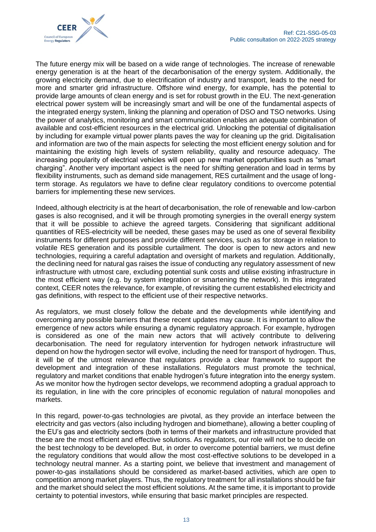

The future energy mix will be based on a wide range of technologies. The increase of renewable energy generation is at the heart of the decarbonisation of the energy system. Additionally, the growing electricity demand, due to electrification of industry and transport, leads to the need for more and smarter grid infrastructure. Offshore wind energy, for example, has the potential to provide large amounts of clean energy and is set for robust growth in the EU. The next-generation electrical power system will be increasingly smart and will be one of the fundamental aspects of the integrated energy system, linking the planning and operation of DSO and TSO networks. Using the power of analytics, monitoring and smart communication enables an adequate combination of available and cost-efficient resources in the electrical grid. Unlocking the potential of digitalisation by including for example virtual power plants paves the way for cleaning up the grid. Digitalisation and information are two of the main aspects for selecting the most efficient energy solution and for maintaining the existing high levels of system reliability, quality and resource adequacy. The increasing popularity of electrical vehicles will open up new market opportunities such as "smart charging". Another very important aspect is the need for shifting generation and load in terms by flexibility instruments, such as demand side management, RES curtailment and the usage of longterm storage. As regulators we have to define clear regulatory conditions to overcome potential barriers for implementing these new services.

Indeed, although electricity is at the heart of decarbonisation, the role of renewable and low-carbon gases is also recognised, and it will be through promoting synergies in the overall energy system that it will be possible to achieve the agreed targets. Considering that significant additional quantities of RES-electricity will be needed, these gases may be used as one of several flexibility instruments for different purposes and provide different services, such as for storage in relation to volatile RES generation and its possible curtailment. The door is open to new actors and new technologies, requiring a careful adaptation and oversight of markets and regulation. Additionally, the declining need for natural gas raises the issue of conducting any regulatory assessment of new infrastructure with utmost care, excluding potential sunk costs and utilise existing infrastructure in the most efficient way (e.g. by system integration or smartening the network). In this integrated context, CEER notes the relevance, for example, of revisiting the current established electricity and gas definitions, with respect to the efficient use of their respective networks.

As regulators, we must closely follow the debate and the developments while identifying and overcoming any possible barriers that these recent updates may cause. It is important to allow the emergence of new actors while ensuring a dynamic regulatory approach. For example, hydrogen is considered as one of the main new actors that will actively contribute to delivering decarbonisation. The need for regulatory intervention for hydrogen network infrastructure will depend on how the hydrogen sector will evolve, including the need for transport of hydrogen. Thus, it will be of the utmost relevance that regulators provide a clear framework to support the development and integration of these installations. Regulators must promote the technical, regulatory and market conditions that enable hydrogen's future integration into the energy system. As we monitor how the hydrogen sector develops, we recommend adopting a gradual approach to its regulation, in line with the core principles of economic regulation of natural monopolies and markets.

In this regard, power-to-gas technologies are pivotal, as they provide an interface between the electricity and gas vectors (also including hydrogen and biomethane), allowing a better coupling of the EU's gas and electricity sectors (both in terms of their markets and infrastructure provided that these are the most efficient and effective solutions. As regulators, our role will not be to decide on the best technology to be developed. But, in order to overcome potential barriers, we must define the regulatory conditions that would allow the most cost-effective solutions to be developed in a technology neutral manner. As a starting point, we believe that investment and management of power-to-gas installations should be considered as market-based activities, which are open to competition among market players. Thus, the regulatory treatment for all installations should be fair and the market should select the most efficient solutions. At the same time, it is important to provide certainty to potential investors, while ensuring that basic market principles are respected.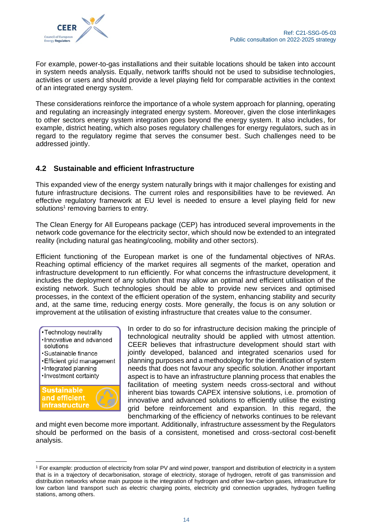

For example, power-to-gas installations and their suitable locations should be taken into account in system needs analysis. Equally, network tariffs should not be used to subsidise technologies, activities or users and should provide a level playing field for comparable activities in the context of an integrated energy system.

These considerations reinforce the importance of a whole system approach for planning, operating and regulating an increasingly integrated energy system. Moreover, given the close interlinkages to other sectors energy system integration goes beyond the energy system. It also includes, for example, district heating, which also poses regulatory challenges for energy regulators, such as in regard to the regulatory regime that serves the consumer best. Such challenges need to be addressed jointly.

## <span id="page-13-0"></span>**4.2 Sustainable and efficient Infrastructure**

This expanded view of the energy system naturally brings with it major challenges for existing and future infrastructure decisions. The current roles and responsibilities have to be reviewed. An effective regulatory framework at EU level is needed to ensure a level playing field for new solutions<sup>1</sup> removing barriers to entry.

The Clean Energy for All Europeans package (CEP) has introduced several improvements in the network code governance for the electricity sector, which should now be extended to an integrated reality (including natural gas heating/cooling, mobility and other sectors).

Efficient functioning of the European market is one of the fundamental objectives of NRAs. Reaching optimal efficiency of the market requires all segments of the market, operation and infrastructure development to run efficiently. For what concerns the infrastructure development, it includes the deployment of any solution that may allow an optimal and efficient utilisation of the existing network. Such technologies should be able to provide new services and optimised processes, in the context of the efficient operation of the system, enhancing stability and security and, at the same time, reducing energy costs. More generally, the focus is on any solution or improvement at the utilisation of existing infrastructure that creates value to the consumer.



In order to do so for infrastructure decision making the principle of technological neutrality should be applied with utmost attention. CEER believes that infrastructure development should start with jointly developed, balanced and integrated scenarios used for planning purposes and a methodology for the identification of system needs that does not favour any specific solution. Another important aspect is to have an infrastructure planning process that enables the facilitation of meeting system needs cross-sectoral and without inherent bias towards CAPEX intensive solutions, i.e. promotion of innovative and advanced solutions to efficiently utilise the existing grid before reinforcement and expansion. In this regard, the benchmarking of the efficiency of networks continues to be relevant

and might even become more important. Additionally, infrastructure assessment by the Regulators should be performed on the basis of a consistent, monetised and cross-sectoral cost-benefit analysis.

<sup>&</sup>lt;sup>1</sup> For example: production of electricity from solar PV and wind power, transport and distribution of electricity in a system that is in a trajectory of decarbonisation, storage of electricity, storage of hydrogen, retrofit of gas transmission and distribution networks whose main purpose is the integration of hydrogen and other low-carbon gases, infrastructure for low carbon land transport such as electric charging points, electricity grid connection upgrades, hydrogen fuelling stations, among others.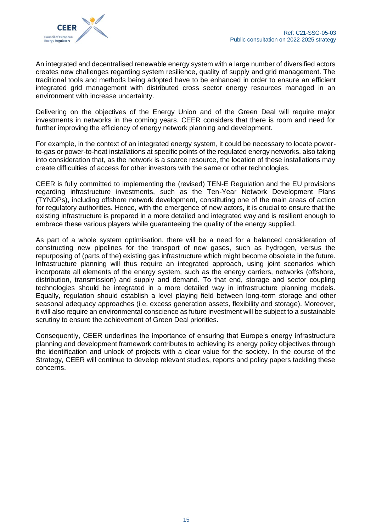An integrated and decentralised renewable energy system with a large number of diversified actors creates new challenges regarding system resilience, quality of supply and grid management. The traditional tools and methods being adopted have to be enhanced in order to ensure an efficient integrated grid management with distributed cross sector energy resources managed in an environment with increase uncertainty.

Delivering on the objectives of the Energy Union and of the Green Deal will require major investments in networks in the coming years. CEER considers that there is room and need for further improving the efficiency of energy network planning and development.

For example, in the context of an integrated energy system, it could be necessary to locate powerto-gas or power-to-heat installations at specific points of the regulated energy networks, also taking into consideration that, as the network is a scarce resource, the location of these installations may create difficulties of access for other investors with the same or other technologies.

CEER is fully committed to implementing the (revised) TEN-E Regulation and the EU provisions regarding infrastructure investments, such as the Ten-Year Network Development Plans (TYNDPs), including offshore network development, constituting one of the main areas of action for regulatory authorities. Hence, with the emergence of new actors, it is crucial to ensure that the existing infrastructure is prepared in a more detailed and integrated way and is resilient enough to embrace these various players while guaranteeing the quality of the energy supplied.

As part of a whole system optimisation, there will be a need for a balanced consideration of constructing new pipelines for the transport of new gases, such as hydrogen, versus the repurposing of (parts of the) existing gas infrastructure which might become obsolete in the future. Infrastructure planning will thus require an integrated approach, using joint scenarios which incorporate all elements of the energy system, such as the energy carriers, networks (offshore, distribution, transmission) and supply and demand. To that end, storage and sector coupling technologies should be integrated in a more detailed way in infrastructure planning models. Equally, regulation should establish a level playing field between long-term storage and other seasonal adequacy approaches (i.e. excess generation assets, flexibility and storage). Moreover, it will also require an environmental conscience as future investment will be subject to a sustainable scrutiny to ensure the achievement of Green Deal priorities.

Consequently, CEER underlines the importance of ensuring that Europe's energy infrastructure planning and development framework contributes to achieving its energy policy objectives through the identification and unlock of projects with a clear value for the society. In the course of the Strategy, CEER will continue to develop relevant studies, reports and policy papers tackling these concerns.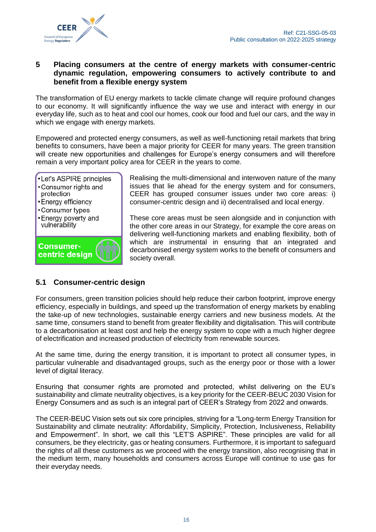

## <span id="page-15-0"></span>**5 Placing consumers at the centre of energy markets with consumer-centric dynamic regulation, empowering consumers to actively contribute to and benefit from a flexible energy system**

The transformation of EU energy markets to tackle climate change will require profound changes to our economy. It will significantly influence the way we use and interact with energy in our everyday life, such as to heat and cool our homes, cook our food and fuel our cars, and the way in which we engage with energy markets.

Empowered and protected energy consumers, as well as well-functioning retail markets that bring benefits to consumers, have been a major priority for CEER for many years. The green transition will create new opportunities and challenges for Europe's energy consumers and will therefore remain a very important policy area for CEER in the years to come.

•Let's ASPIRE principles •Consumer rights and protection • Energy efficiency •Consumer types • Energy poverty and vulnerability **Consumer**centric design

Realising the multi-dimensional and interwoven nature of the many issues that lie ahead for the energy system and for consumers, CEER has grouped consumer issues under two core areas: i) consumer-centric design and ii) decentralised and local energy.

These core areas must be seen alongside and in conjunction with the other core areas in our Strategy, for example the core areas on delivering well-functioning markets and enabling flexibility, both of which are instrumental in ensuring that an integrated and decarbonised energy system works to the benefit of consumers and society overall.

## <span id="page-15-1"></span>**5.1 Consumer-centric design**

For consumers, green transition policies should help reduce their carbon footprint, improve energy efficiency, especially in buildings, and speed up the transformation of energy markets by enabling the take-up of new technologies, sustainable energy carriers and new business models. At the same time, consumers stand to benefit from greater flexibility and digitalisation. This will contribute to a decarbonisation at least cost and help the energy system to cope with a much higher degree of electrification and increased production of electricity from renewable sources.

At the same time, during the energy transition, it is important to protect all consumer types, in particular vulnerable and disadvantaged groups, such as the energy poor or those with a lower level of digital literacy.

Ensuring that consumer rights are promoted and protected, whilst delivering on the EU's sustainability and climate neutrality objectives, is a key priority for the CEER-BEUC 2030 Vision for Energy Consumers and as such is an integral part of CEER's Strategy from 2022 and onwards.

The CEER-BEUC Vision sets out six core principles, striving for a "Long-term Energy Transition for Sustainability and climate neutrality: Affordability, Simplicity, Protection, Inclusiveness, Reliability and Empowerment". In short, we call this "LET'S ASPIRE". These principles are valid for all consumers, be they electricity, gas or heating consumers. Furthermore, it is important to safeguard the rights of all these customers as we proceed with the energy transition, also recognising that in the medium term, many households and consumers across Europe will continue to use gas for their everyday needs.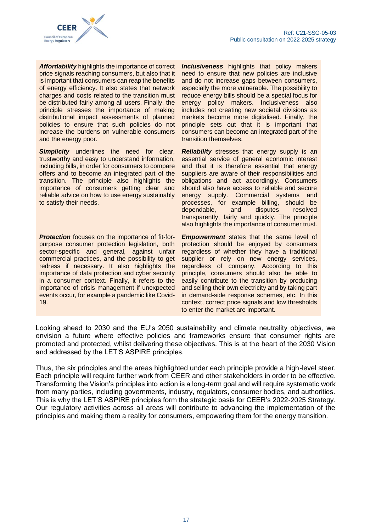

*Affordability* highlights the importance of correct price signals reaching consumers, but also that it is important that consumers can reap the benefits of energy efficiency. It also states that network charges and costs related to the transition must be distributed fairly among all users. Finally, the principle stresses the importance of making distributional impact assessments of planned policies to ensure that such policies do not increase the burdens on vulnerable consumers and the energy poor.

**Simplicity** underlines the need for clear, trustworthy and easy to understand information, including bills, in order for consumers to compare offers and to become an integrated part of the transition. The principle also highlights the importance of consumers getting clear and reliable advice on how to use energy sustainably to satisfy their needs.

*Protection* focuses on the importance of fit-forpurpose consumer protection legislation, both sector-specific and general, against unfair commercial practices, and the possibility to get redress if necessary. It also highlights the importance of data protection and cyber security in a consumer context. Finally, it refers to the importance of crisis management if unexpected events occur, for example a pandemic like Covid-19.

*Inclusiveness* highlights that policy makers need to ensure that new policies are inclusive and do not increase gaps between consumers, especially the more vulnerable. The possibility to reduce energy bills should be a special focus for energy policy makers. Inclusiveness also includes not creating new societal divisions as markets become more digitalised. Finally, the principle sets out that it is important that consumers can become an integrated part of the transition themselves.

*Reliability* stresses that energy supply is an essential service of general economic interest and that it is therefore essential that energy suppliers are aware of their responsibilities and obligations and act accordingly. Consumers should also have access to reliable and secure energy supply. Commercial systems and processes, for example billing, should be dependable, and disputes resolved transparently, fairly and quickly. The principle also highlights the importance of consumer trust.

*Empowerment* states that the same level of protection should be enjoyed by consumers regardless of whether they have a traditional supplier or rely on new energy services, regardless of company. According to this principle, consumers should also be able to easily contribute to the transition by producing and selling their own electricity and by taking part in demand-side response schemes, etc. In this context, correct price signals and low thresholds to enter the market are important.

Looking ahead to 2030 and the EU's 2050 sustainability and climate neutrality objectives, we envision a future where effective policies and frameworks ensure that consumer rights are promoted and protected, whilst delivering these objectives. This is at the heart of the 2030 Vision and addressed by the LET'S ASPIRE principles.

Thus, the six principles and the areas highlighted under each principle provide a high-level steer. Each principle will require further work from CEER and other stakeholders in order to be effective. Transforming the Vision's principles into action is a long-term goal and will require systematic work from many parties, including governments, industry, regulators, consumer bodies, and authorities. This is why the LET'S ASPIRE principles form the strategic basis for CEER's 2022-2025 Strategy. Our regulatory activities across all areas will contribute to advancing the implementation of the principles and making them a reality for consumers, empowering them for the energy transition.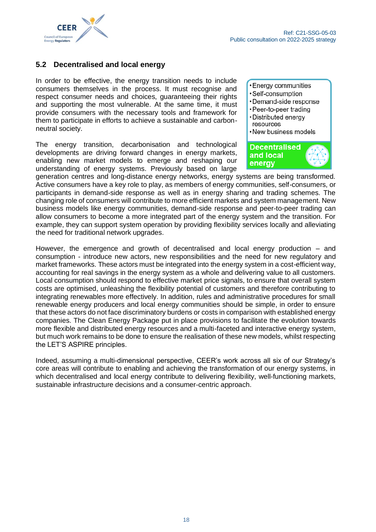

## <span id="page-17-0"></span>**5.2 Decentralised and local energy**

In order to be effective, the energy transition needs to include consumers themselves in the process. It must recognise and respect consumer needs and choices, guaranteeing their rights and supporting the most vulnerable. At the same time, it must provide consumers with the necessary tools and framework for them to participate in efforts to achieve a sustainable and carbonneutral society.

The energy transition, decarbonisation and technological developments are driving forward changes in energy markets, enabling new market models to emerge and reshaping our understanding of energy systems. Previously based on large

• Energy communities

- ·Self-consumption
- •Demand-side response
- •Peer-to-peer trading · Distributed enerav
- resources
- •New business models



generation centres and long-distance energy networks, energy systems are being transformed. Active consumers have a key role to play, as members of energy communities, self-consumers, or participants in demand-side response as well as in energy sharing and trading schemes. The changing role of consumers will contribute to more efficient markets and system management. New business models like energy communities, demand-side response and peer-to-peer trading can allow consumers to become a more integrated part of the energy system and the transition. For example, they can support system operation by providing flexibility services locally and alleviating the need for traditional network upgrades.

However, the emergence and growth of decentralised and local energy production – and consumption - introduce new actors, new responsibilities and the need for new regulatory and market frameworks. These actors must be integrated into the energy system in a cost-efficient way, accounting for real savings in the energy system as a whole and delivering value to all customers. Local consumption should respond to effective market price signals, to ensure that overall system costs are optimised, unleashing the flexibility potential of customers and therefore contributing to integrating renewables more effectively. In addition, rules and administrative procedures for small renewable energy producers and local energy communities should be simple, in order to ensure that these actors do not face discriminatory burdens or costs in comparison with established energy companies. The Clean Energy Package put in place provisions to facilitate the evolution towards more flexible and distributed energy resources and a multi-faceted and interactive energy system, but much work remains to be done to ensure the realisation of these new models, whilst respecting the LET'S ASPIRE principles.

Indeed, assuming a multi-dimensional perspective, CEER's work across all six of our Strategy's core areas will contribute to enabling and achieving the transformation of our energy systems, in which decentralised and local energy contribute to delivering flexibility, well-functioning markets, sustainable infrastructure decisions and a consumer-centric approach.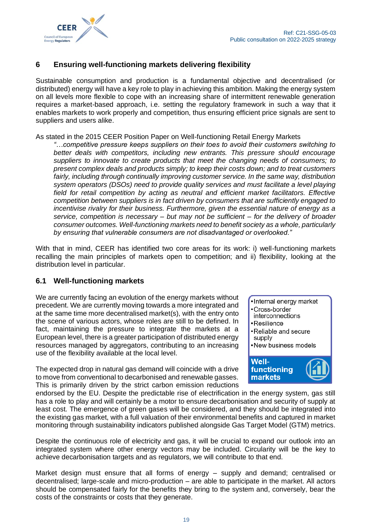

## <span id="page-18-0"></span>**6 Ensuring well-functioning markets delivering flexibility**

Sustainable consumption and production is a fundamental objective and decentralised (or distributed) energy will have a key role to play in achieving this ambition. Making the energy system on all levels more flexible to cope with an increasing share of intermittent renewable generation requires a market-based approach, i.e. setting the regulatory framework in such a way that it enables markets to work properly and competition, thus ensuring efficient price signals are sent to suppliers and users alike.

#### As stated in the 2015 CEER Position Paper on Well-functioning Retail Energy Markets

*"…competitive pressure keeps suppliers on their toes to avoid their customers switching to better deals with competitors, including new entrants. This pressure should encourage suppliers to innovate to create products that meet the changing needs of consumers; to present complex deals and products simply; to keep their costs down; and to treat customers fairly, including through continually improving customer service. In the same way, distribution system operators (DSOs) need to provide quality services and must facilitate a level playing*  field for retail competition by acting as neutral and efficient market facilitators. Effective *competition between suppliers is in fact driven by consumers that are sufficiently engaged to incentivise rivalry for their business. Furthermore, given the essential nature of energy as a service, competition is necessary – but may not be sufficient – for the delivery of broader consumer outcomes. Well-functioning markets need to benefit society as a whole, particularly by ensuring that vulnerable consumers are not disadvantaged or overlooked."*

With that in mind, CEER has identified two core areas for its work: i) well-functioning markets recalling the main principles of markets open to competition; and ii) flexibility, looking at the distribution level in particular.

## <span id="page-18-1"></span>**6.1 Well-functioning markets**

We are currently facing an evolution of the energy markets without precedent. We are currently moving towards a more integrated and at the same time more decentralised market(s), with the entry onto the scene of various actors, whose roles are still to be defined. In fact, maintaining the pressure to integrate the markets at a European level, there is a greater participation of distributed energy resources managed by aggregators, contributing to an increasing use of the flexibility available at the local level.

The expected drop in natural gas demand will coincide with a drive to move from conventional to decarbonised and renewable gasses. This is primarily driven by the strict carbon emission reductions



- Cross-border
- interconnections
- Resilience
- •Reliable and secure supply
- •New business models



endorsed by the EU. Despite the predictable rise of electrification in the energy system, gas still has a role to play and will certainly be a motor to ensure decarbonisation and security of supply at least cost. The emergence of green gases will be considered, and they should be integrated into the existing gas market, with a full valuation of their environmental benefits and captured in market monitoring through sustainability indicators published alongside Gas Target Model (GTM) metrics.

Despite the continuous role of electricity and gas, it will be crucial to expand our outlook into an integrated system where other energy vectors may be included. Circularity will be the key to achieve decarbonisation targets and as regulators, we will contribute to that end.

Market design must ensure that all forms of energy – supply and demand; centralised or decentralised; large-scale and micro-production – are able to participate in the market. All actors should be compensated fairly for the benefits they bring to the system and, conversely, bear the costs of the constraints or costs that they generate.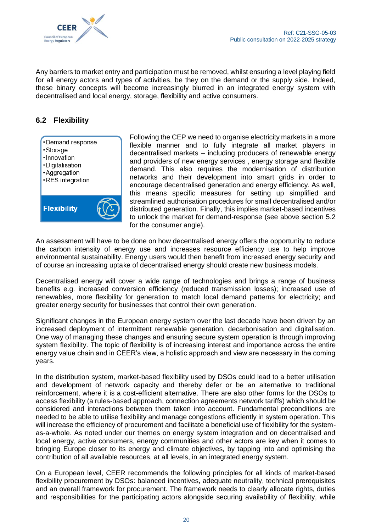

Any barriers to market entry and participation must be removed, whilst ensuring a level playing field for all energy actors and types of activities, be they on the demand or the supply side. Indeed, these binary concepts will become increasingly blurred in an integrated energy system with decentralised and local energy, storage, flexibility and active consumers.

## <span id="page-19-0"></span>**6.2 Flexibility**



Following the CEP we need to organise electricity markets in a more flexible manner and to fully integrate all market players in decentralised markets – including producers of renewable energy and providers of new energy services , energy storage and flexible demand. This also requires the modernisation of distribution networks and their development into smart grids in order to encourage decentralised generation and energy efficiency. As well, this means specific measures for setting up simplified and streamlined authorisation procedures for small decentralised and/or distributed generation. Finally, this implies market-based incentives to unlock the market for demand-response (see above section 5.2 for the consumer angle).

An assessment will have to be done on how decentralised energy offers the opportunity to reduce the carbon intensity of energy use and increases resource efficiency use to help improve environmental sustainability. Energy users would then benefit from increased energy security and of course an increasing uptake of decentralised energy should create new business models.

Decentralised energy will cover a wide range of technologies and brings a range of business benefits e.g. increased conversion efficiency (reduced transmission losses); increased use of renewables, more flexibility for generation to match local demand patterns for electricity; and greater energy security for businesses that control their own generation.

Significant changes in the European energy system over the last decade have been driven by an increased deployment of intermittent renewable generation, decarbonisation and digitalisation. One way of managing these changes and ensuring secure system operation is through improving system flexibility. The topic of flexibility is of increasing interest and importance across the entire energy value chain and in CEER's view, a holistic approach and view are necessary in the coming years.

In the distribution system, market-based flexibility used by DSOs could lead to a better utilisation and development of network capacity and thereby defer or be an alternative to traditional reinforcement, where it is a cost-efficient alternative. There are also other forms for the DSOs to access flexibility (a rules-based approach, connection agreements network tariffs) which should be considered and interactions between them taken into account. Fundamental preconditions are needed to be able to utilise flexibility and manage congestions efficiently in system operation. This will increase the efficiency of procurement and facilitate a beneficial use of flexibility for the systemas-a-whole. As noted under our themes on energy system integration and on decentralised and local energy, active consumers, energy communities and other actors are key when it comes to bringing Europe closer to its energy and climate objectives, by tapping into and optimising the contribution of all available resources, at all levels, in an integrated energy system.

On a European level, CEER recommends the following principles for all kinds of market-based flexibility procurement by DSOs: balanced incentives, adequate neutrality, technical prerequisites and an overall framework for procurement. The framework needs to clearly allocate rights, duties and responsibilities for the participating actors alongside securing availability of flexibility, while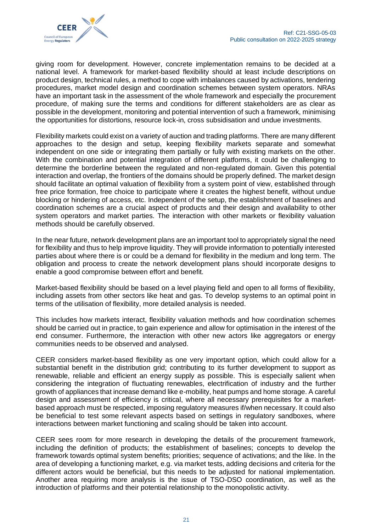

giving room for development. However, concrete implementation remains to be decided at a national level. A framework for market-based flexibility should at least include descriptions on product design, technical rules, a method to cope with imbalances caused by activations, tendering procedures, market model design and coordination schemes between system operators. NRAs have an important task in the assessment of the whole framework and especially the procurement procedure, of making sure the terms and conditions for different stakeholders are as clear as possible in the development, monitoring and potential intervention of such a framework, minimising the opportunities for distortions, resource lock-in, cross subsidisation and undue investments.

Flexibility markets could exist on a variety of auction and trading platforms. There are many different approaches to the design and setup, keeping flexibility markets separate and somewhat independent on one side or integrating them partially or fully with existing markets on the other. With the combination and potential integration of different platforms, it could be challenging to determine the borderline between the regulated and non-regulated domain. Given this potential interaction and overlap, the frontiers of the domains should be properly defined. The market design should facilitate an optimal valuation of flexibility from a system point of view, established through free price formation, free choice to participate where it creates the highest benefit, without undue blocking or hindering of access, etc. Independent of the setup, the establishment of baselines and coordination schemes are a crucial aspect of products and their design and availability to other system operators and market parties. The interaction with other markets or flexibility valuation methods should be carefully observed.

In the near future, network development plans are an important tool to appropriately signal the need for flexibility and thus to help improve liquidity. They will provide information to potentially interested parties about where there is or could be a demand for flexibility in the medium and long term. The obligation and process to create the network development plans should incorporate designs to enable a good compromise between effort and benefit.

Market-based flexibility should be based on a level playing field and open to all forms of flexibility, including assets from other sectors like heat and gas. To develop systems to an optimal point in terms of the utilisation of flexibility, more detailed analysis is needed.

This includes how markets interact, flexibility valuation methods and how coordination schemes should be carried out in practice, to gain experience and allow for optimisation in the interest of the end consumer. Furthermore, the interaction with other new actors like aggregators or energy communities needs to be observed and analysed.

CEER considers market-based flexibility as one very important option, which could allow for a substantial benefit in the distribution grid; contributing to its further development to support as renewable, reliable and efficient an energy supply as possible. This is especially salient when considering the integration of fluctuating renewables, electrification of industry and the further growth of appliances that increase demand like e-mobility, heat pumps and home storage. A careful design and assessment of efficiency is critical, where all necessary prerequisites for a marketbased approach must be respected, imposing regulatory measures if/when necessary. It could also be beneficial to test some relevant aspects based on settings in regulatory sandboxes, where interactions between market functioning and scaling should be taken into account.

CEER sees room for more research in developing the details of the procurement framework, including the definition of products; the establishment of baselines; concepts to develop the framework towards optimal system benefits; priorities; sequence of activations; and the like. In the area of developing a functioning market, e.g. via market tests, adding decisions and criteria for the different actors would be beneficial, but this needs to be adjusted for national implementation. Another area requiring more analysis is the issue of TSO-DSO coordination, as well as the introduction of platforms and their potential relationship to the monopolistic activity.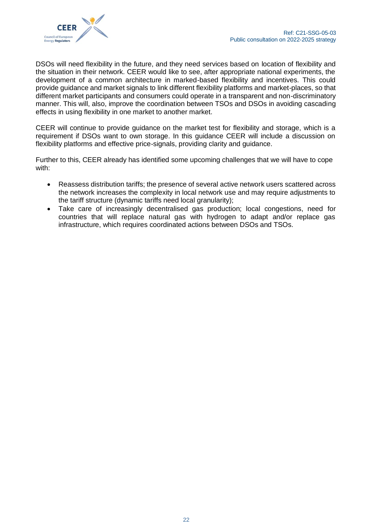

DSOs will need flexibility in the future, and they need services based on location of flexibility and the situation in their network. CEER would like to see, after appropriate national experiments, the development of a common architecture in marked-based flexibility and incentives. This could provide guidance and market signals to link different flexibility platforms and market-places, so that different market participants and consumers could operate in a transparent and non-discriminatory manner. This will, also, improve the coordination between TSOs and DSOs in avoiding cascading effects in using flexibility in one market to another market.

CEER will continue to provide guidance on the market test for flexibility and storage, which is a requirement if DSOs want to own storage. In this guidance CEER will include a discussion on flexibility platforms and effective price-signals, providing clarity and guidance.

Further to this, CEER already has identified some upcoming challenges that we will have to cope with:

- Reassess distribution tariffs; the presence of several active network users scattered across the network increases the complexity in local network use and may require adjustments to the tariff structure (dynamic tariffs need local granularity);
- Take care of increasingly decentralised gas production; local congestions, need for countries that will replace natural gas with hydrogen to adapt and/or replace gas infrastructure, which requires coordinated actions between DSOs and TSOs.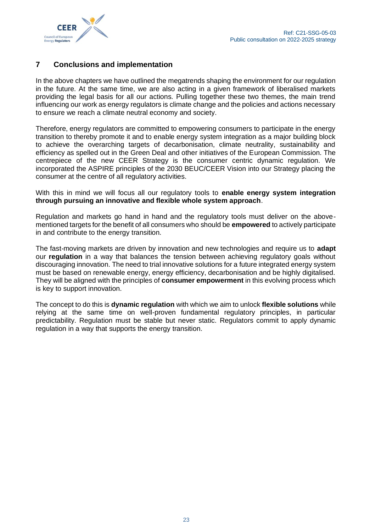

## <span id="page-22-0"></span>**7 Conclusions and implementation**

In the above chapters we have outlined the megatrends shaping the environment for our regulation in the future. At the same time, we are also acting in a given framework of liberalised markets providing the legal basis for all our actions. Pulling together these two themes, the main trend influencing our work as energy regulators is climate change and the policies and actions necessary to ensure we reach a climate neutral economy and society.

Therefore, energy regulators are committed to empowering consumers to participate in the energy transition to thereby promote it and to enable energy system integration as a major building block to achieve the overarching targets of decarbonisation, climate neutrality, sustainability and efficiency as spelled out in the Green Deal and other initiatives of the European Commission. The centrepiece of the new CEER Strategy is the consumer centric dynamic regulation. We incorporated the ASPIRE principles of the 2030 BEUC/CEER Vision into our Strategy placing the consumer at the centre of all regulatory activities.

With this in mind we will focus all our regulatory tools to **enable energy system integration through pursuing an innovative and flexible whole system approach**.

Regulation and markets go hand in hand and the regulatory tools must deliver on the abovementioned targets for the benefit of all consumers who should be **empowered** to actively participate in and contribute to the energy transition.

The fast-moving markets are driven by innovation and new technologies and require us to **adapt**  our **regulation** in a way that balances the tension between achieving regulatory goals without discouraging innovation. The need to trial innovative solutions for a future integrated energy system must be based on renewable energy, energy efficiency, decarbonisation and be highly digitalised. They will be aligned with the principles of **consumer empowerment** in this evolving process which is key to support innovation.

The concept to do this is **dynamic regulation** with which we aim to unlock **flexible solutions** while relying at the same time on well-proven fundamental regulatory principles, in particular predictability. Regulation must be stable but never static. Regulators commit to apply dynamic regulation in a way that supports the energy transition.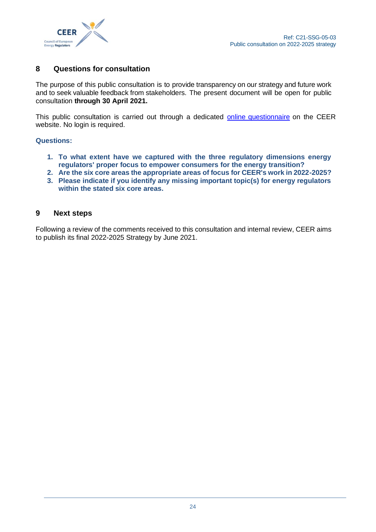

## <span id="page-23-0"></span>**8 Questions for consultation**

The purpose of this public consultation is to provide transparency on our strategy and future work and to seek valuable feedback from stakeholders. The present document will be open for public consultation **through 30 April 2021.**

This public consultation is carried out through a dedicated [online questionnaire](https://www.ceer.eu/public-consultation-on-new-strategy) on the CEER website. No login is required.

#### **Questions:**

- **1. To what extent have we captured with the three regulatory dimensions energy regulators' proper focus to empower consumers for the energy transition?**
- **2. Are the six core areas the appropriate areas of focus for CEER's work in 2022-2025?**
- **3. Please indicate if you identify any missing important topic(s) for energy regulators within the stated six core areas.**

#### <span id="page-23-1"></span>**9 Next steps**

Following a review of the comments received to this consultation and internal review, CEER aims to publish its final 2022-2025 Strategy by June 2021.